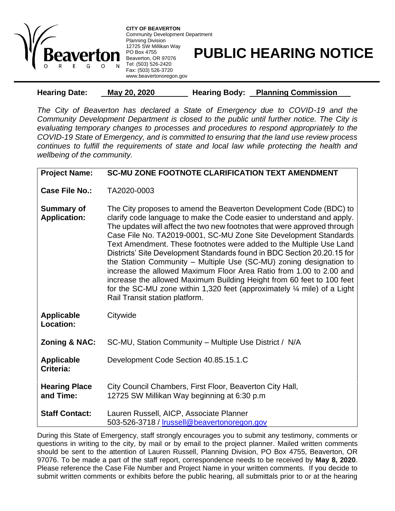

**CITY OF BEAVERTON** Community Development Department Planning Division 12725 SW Millikan Way PO Box 4755 Beaverton, OR 97076 Tel: (503) 526-2420 Fax: (503) 526-3720 www.beavertonoregon.gov

## **PUBLIC HEARING NOTICE**

| <b>Hearing Date:</b> | May 20, 2020 | <b>Hearing Body:</b> | <b>Planning Commission</b> |
|----------------------|--------------|----------------------|----------------------------|
|                      |              |                      |                            |

*The City of Beaverton has declared a State of Emergency due to COVID-19 and the Community Development Department is closed to the public until further notice. The City is evaluating temporary changes to processes and procedures to respond appropriately to the COVID-19 State of Emergency, and is committed to ensuring that the land use review process continues to fulfill the requirements of state and local law while protecting the health and wellbeing of the community.*

| <b>Project Name:</b>                     | <b>SC-MU ZONE FOOTNOTE CLARIFICATION TEXT AMENDMENT</b>                                                                                                                                                                                                                                                                                                                                                                                                                                                                                                                                                                                                                                                                                                                                      |  |
|------------------------------------------|----------------------------------------------------------------------------------------------------------------------------------------------------------------------------------------------------------------------------------------------------------------------------------------------------------------------------------------------------------------------------------------------------------------------------------------------------------------------------------------------------------------------------------------------------------------------------------------------------------------------------------------------------------------------------------------------------------------------------------------------------------------------------------------------|--|
| Case File No.:                           | TA2020-0003                                                                                                                                                                                                                                                                                                                                                                                                                                                                                                                                                                                                                                                                                                                                                                                  |  |
| <b>Summary of</b><br><b>Application:</b> | The City proposes to amend the Beaverton Development Code (BDC) to<br>clarify code language to make the Code easier to understand and apply.<br>The updates will affect the two new footnotes that were approved through<br>Case File No. TA2019-0001, SC-MU Zone Site Development Standards<br>Text Amendment. These footnotes were added to the Multiple Use Land<br>Districts' Site Development Standards found in BDC Section 20.20.15 for<br>the Station Community - Multiple Use (SC-MU) zoning designation to<br>increase the allowed Maximum Floor Area Ratio from 1.00 to 2.00 and<br>increase the allowed Maximum Building Height from 60 feet to 100 feet<br>for the SC-MU zone within 1,320 feet (approximately $\frac{1}{4}$ mile) of a Light<br>Rail Transit station platform. |  |
| <b>Applicable</b><br><b>Location:</b>    | Citywide                                                                                                                                                                                                                                                                                                                                                                                                                                                                                                                                                                                                                                                                                                                                                                                     |  |
| <b>Zoning &amp; NAC:</b>                 | SC-MU, Station Community - Multiple Use District / N/A                                                                                                                                                                                                                                                                                                                                                                                                                                                                                                                                                                                                                                                                                                                                       |  |
| <b>Applicable</b><br>Criteria:           | Development Code Section 40.85.15.1.C                                                                                                                                                                                                                                                                                                                                                                                                                                                                                                                                                                                                                                                                                                                                                        |  |
| <b>Hearing Place</b><br>and Time:        | City Council Chambers, First Floor, Beaverton City Hall,<br>12725 SW Millikan Way beginning at 6:30 p.m                                                                                                                                                                                                                                                                                                                                                                                                                                                                                                                                                                                                                                                                                      |  |
| <b>Staff Contact:</b>                    | Lauren Russell, AICP, Associate Planner<br>503-526-3718 / Irussell@beavertonoregon.gov                                                                                                                                                                                                                                                                                                                                                                                                                                                                                                                                                                                                                                                                                                       |  |

During this State of Emergency, staff strongly encourages you to submit any testimony, comments or questions in writing to the city, by mail or by email to the project planner. Mailed written comments should be sent to the attention of Lauren Russell, Planning Division, PO Box 4755, Beaverton, OR 97076. To be made a part of the staff report, correspondence needs to be received by **May 8, 2020**. Please reference the Case File Number and Project Name in your written comments. If you decide to submit written comments or exhibits before the public hearing, all submittals prior to or at the hearing